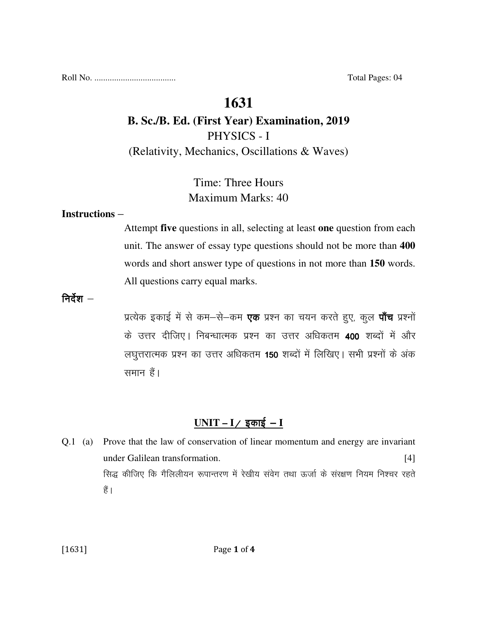Roll No. ..................................... Total Pages: 04

# **1631**

# **B. Sc./B. Ed. (First Year) Examination, 2019**  PHYSICS - I (Relativity, Mechanics, Oscillations & Waves)

# Time: Three Hours Maximum Marks: 40

#### **Instructions** –

Attempt **five** questions in all, selecting at least **one** question from each unit. The answer of essay type questions should not be more than **400** words and short answer type of questions in not more than **150** words. All questions carry equal marks.

निर्देश $-$ 

प्रत्येक इकाई में से कम–से–कम **एक** प्रश्न का चयन करते हुए, कूल **पाँच** प्रश्नों के उत्तर दीजिए। निबन्धात्मक प्रश्न का उत्तर अधिकतम 400 शब्दों में और लघुत्तरात्मक प्रश्न का उत्तर अधिकतम 150 शब्दों में लिखिए। सभी प्रश्नों के अंक समान हैं।

### $UNIT - I /$  इकाई – **I**

Q.1 (a) Prove that the law of conservation of linear momentum and energy are invariant under Galilean transformation. [4] सिद्ध कीजिए कि गैलिलीयन रूपान्तरण में रेखीय संवेग तथा ऊर्जा के संरक्षण नियम निश्चर रहते हैं ।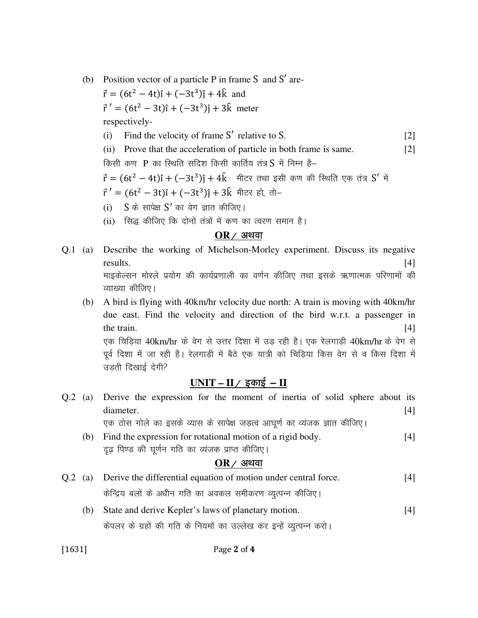(b) Position vector of a particle P in frame S and  $S'$  are- $\vec{r} = (6t^2 - 4t)\hat{i} + (-3t^3)\hat{j} + 4\hat{k}$  and  $\vec{r}' = (6t^2 - 3t)\hat{i} + (-3t^3)\hat{j} + 3\hat{k}$  meter respectively- (i) Find the velocity of frame  $S'$  relative to S. [2] (ii) Prove that the acceleration of particle in both frame is same. [2] किसी कण P का स्थिति सदिश किसी कार्तिय तंत्र S में निम्न है–  $\vec{r} = (6t^2 - 4t)\hat{\imath} + (-3t^3)\hat{\jmath} + 4\hat{k}$  मीटर तथा इसी कण की स्थिति एक तंत्र  $S'$  में  $\vec{r}^{\,\,\prime}=(6t^2-3t)\hat{\imath}+(-3t^3)\hat{\jmath}+3\hat{k}$  मीटर हो, तो–  $\displaystyle{\mathrm{(i)}\quad S}$  के सापेक्ष  $\displaystyle{S'}$  का वेग ज्ञात कीजिए। (ii) सिद्ध कीजिए कि दोनों तंत्रों में कण का त्वरण समान है।  $OR$  / अथवा

# Q.1 (a) Describe the working of Michelson-Morley experiment. Discuss its negative results. [4] माइकेल्सन मोरले प्रयोग की कार्यप्रणाली का वर्णन कीजिए तथा इसके ऋणात्मक परिणामों की व्याख्या कीजिए।

 (b) A bird is flying with 40km/hr velocity due north: A train is moving with 40km/hr due east. Find the velocity and direction of the bird w.r.t. a passenger in the train.  $[4]$ 

एक चिडिया 40km/hr के वेग से उत्तर दिशा में उड रही है। एक रेलगाडी 40km/hr के वेग से पूर्व दिशा में जा रही है। रेलगाड़ी में बैठे एक यात्री को चिड़िया किस वेग से व किस दिशा में उडती दिखाई देगी?

## $UNIT - II /$  इकाई  $- II$

Q.2 (a) Derive the expression for the moment of inertia of solid sphere about its diameter. [4] एक ठोस गोले का इसके व्यास के सापेक्ष जड़त्व आघूर्ण का व्यंजक ज्ञात कीजिए। (b) Find the expression for rotational motion of a rigid body. [4] दृढ़ पिण्ड की घूर्णन गति का व्यंजक प्राप्त कीजिए।

### $OR$  / अथवा

- Q.2 (a) Derive the differential equation of motion under central force. [4] केन्द्रिय बलों के अधीन गति का अवकल समीकरण व्युत्पन्न कीजिए।
	- (b) State and derive Kepler's laws of planetary motion. [4] केपलर के ग्रहों की गति के नियमों का उल्लेख कर इन्हें व्युत्पन्न करो।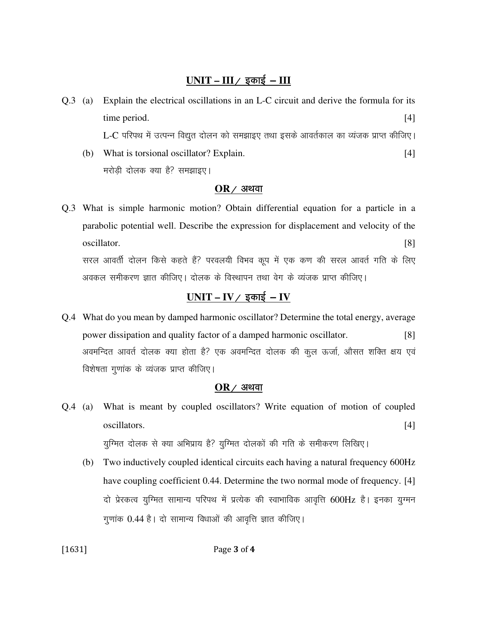### $UNIT - III /$  इकाई – III

Q.3 (a) Explain the electrical oscillations in an L-C circuit and derive the formula for its time period. [4] L-C परिपथ में उत्पन्न विद्युत दोलन को समझाइए तथा इसके आवर्तकाल का व्यंजक प्राप्त कीजिए। (b) What is torsional oscillator? Explain. [4]

मरोडी दोलक क्या है? समझाइए।

#### $OR$ / अथवा

Q.3 What is simple harmonic motion? Obtain differential equation for a particle in a parabolic potential well. Describe the expression for displacement and velocity of the oscillator. [8] सरल आवर्ती दोलन किसे कहते हैं? परवलयी विभव कूप में एक कण की सरल आवर्त गति के लिए अवकल समीकरण ज्ञात कीजिए। दोलक के विस्थापन तथा वेग के व्यंजक प्राप्त कीजिए।

## $UNIT - IV /$  इकाई  $- IV$

Q.4 What do you mean by damped harmonic oscillator? Determine the total energy, average power dissipation and quality factor of a damped harmonic oscillator. [8] अवमन्दित आवर्त दोलक क्या होता है? एक अवमन्दित दोलक की कुल ऊर्जा, औसत शक्ति क्षय एवं विशेषता गुणांक के व्यंजक प्राप्त कीजिए।

#### $OR$  / अथवा

- Q.4 (a) What is meant by coupled oscillators? Write equation of motion of coupled oscillators. [4] युग्मित दोलक से क्या अभिप्राय है? युग्मित दोलकों की गति के समीकरण लिखिए।
	- (b) Two inductively coupled identical circuits each having a natural frequency 600Hz have coupling coefficient 0.44. Determine the two normal mode of frequency. [4] दो प्रेरकत्व युग्मित सामान्य परिपथ में प्रत्येक की स्वाभाविक आवृत्ति 600Hz है। इनका युग्मन गुणांक 0.44 है। दो सामान्य विधाओं की आवृत्ति ज्ञात कीजिए।